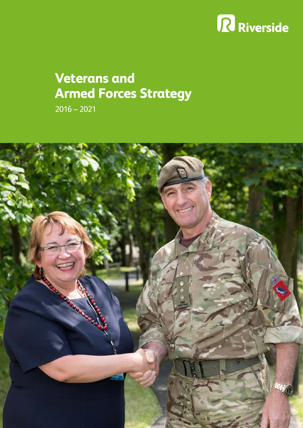# R Riverside

## **Veterans and Armed Forces Strategy**

2016 – 2021

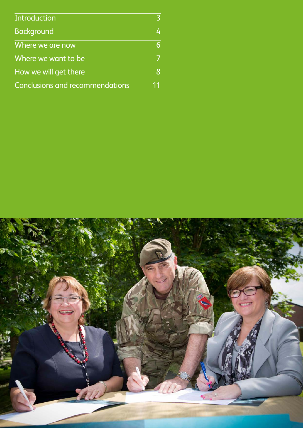| Introduction                           | 3  |
|----------------------------------------|----|
| <b>Background</b>                      | 4  |
| Where we are now                       | 6  |
| Where we want to be                    | 7  |
| How we will get there                  | 8  |
| <b>Conclusions and recommendations</b> | 11 |

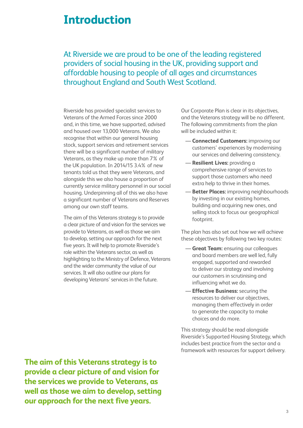### **Introduction**

At Riverside we are proud to be one of the leading registered providers of social housing in the UK, providing support and affordable housing to people of all ages and circumstances throughout England and South West Scotland.

Riverside has provided specialist services to Veterans of the Armed Forces since 2000 and, in this time, we have supported, advised and housed over 13,000 Veterans. We also recognise that within our general housing stock, support services and retirement services there will be a significant number of military Veterans, as they make up more than 7% of the UK population. In 2014/15 3.4% of new tenants told us that they were Veterans, and alongside this we also house a proportion of currently service military personnel in our social housing. Underpinning all of this we also have a significant number of Veterans and Reserves among our own staff teams.

The aim of this Veterans strategy is to provide a clear picture of and vision for the services we provide to Veterans, as well as those we aim to develop, setting our approach for the next five years. It will help to promote Riverside's role within the Veterans sector, as well as highlighting to the Ministry of Defence, Veterans and the wider community the value of our services. It will also outline our plans for developing Veterans' services in the future.

Our Corporate Plan is clear in its objectives, and the Veterans strategy will be no different. The following commitments from the plan will be included within it:

- **Connected Customers:** improving our customers' experiences by modernising our services and delivering consistency.
- **Resilient Lives:** providing a comprehensive range of services to support those customers who need extra help to thrive in their homes.
- **Better Places:** improving neighbourhoods by investing in our existing homes, building and acquiring new ones, and selling stock to focus our geographical footprint.

The plan has also set out how we will achieve these objectives by following two key routes:

- **Great Team:** ensuring our colleagues and board members are well led, fully engaged, supported and rewarded to deliver our strategy and involving our customers in scrutinising and influencing what we do.
- **Effective Business:** securing the resources to deliver our objectives, managing them effectively in order to generate the capacity to make choices and do more.

This strategy should be read alongside Riverside's Supported Housing Strategy, which includes best practice from the sector and a framework with resources for support delivery.

**The aim of this Veterans strategy is to provide a clear picture of and vision for the services we provide to Veterans, as well as those we aim to develop, setting our approach for the next five years.**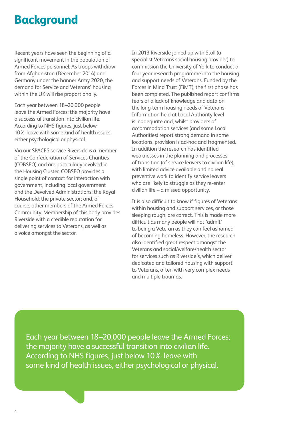### **Background**

Recent years have seen the beginning of a significant movement in the population of Armed Forces personnel. As troops withdraw from Afghanistan (December 2014) and Germany under the banner Army 2020, the demand for Service and Veterans' housing within the UK will rise proportionally.

Each year between 18–20,000 people leave the Armed Forces; the majority have a successful transition into civilian life. According to NHS figures, just below 10% leave with some kind of health issues, either psychological or physical.

Via our SPACES service Riverside is a member of the Confederation of Services Charities (COBSEO) and are particularly involved in the Housing Cluster. COBSEO provides a single point of contact for interaction with government, including local government and the Devolved Administrations; the Royal Household; the private sector; and, of course, other members of the Armed Forces Community. Membership of this body provides Riverside with a credible reputation for delivering services to Veterans, as well as a voice amongst the sector.

In 2013 Riverside joined up with Stoll (a specialist Veterans social housing provider) to commission the University of York to conduct a four year research programme into the housing and support needs of Veterans. Funded by the Forces in Mind Trust (FiMT), the first phase has been completed. The published report confirms fears of a lack of knowledge and data on the long-term housing needs of Veterans. Information held at Local Authority level is inadequate and, whilst providers of accommodation services (and some Local Authorities) report strong demand in some locations, provision is ad-hoc and fragmented. In addition the research has identified weaknesses in the planning and processes of transition (of service leavers to civilian life), with limited advice available and no real preventive work to identify service leavers who are likely to struggle as they re-enter civilian life – a missed opportunity.

It is also difficult to know if figures of Veterans within housing and support services, or those sleeping rough, are correct. This is made more difficult as many people will not 'admit' to being a Veteran as they can feel ashamed of becoming homeless. However, the research also identified great respect amongst the Veterans and social/welfare/health sector for services such as Riverside's, which deliver dedicated and tailored housing with support to Veterans, often with very complex needs and multiple traumas.

Each year between 18–20,000 people leave the Armed Forces; the majority have a successful transition into civilian life. According to NHS figures, just below 10% leave with some kind of health issues, either psychological or physical.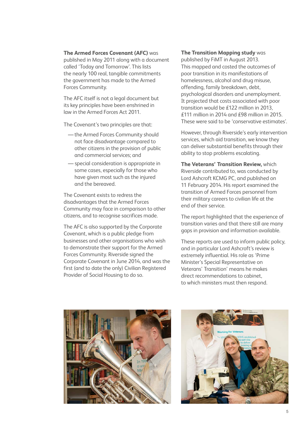#### **The Armed Forces Covenant (AFC)** was

published in May 2011 along with a document called 'Today and Tomorrow'. This lists the nearly 100 real, tangible commitments the government has made to the Armed Forces Community.

The AFC itself is not a legal document but its key principles have been enshrined in law in the Armed Forces Act 2011.

The Covenant's two principles are that:

- —the Armed Forces Community should not face disadvantage compared to other citizens in the provision of public and commercial services; and
- special consideration is appropriate in some cases, especially for those who have given most such as the injured and the bereaved.

The Covenant exists to redress the disadvantages that the Armed Forces Community may face in comparison to other citizens, and to recognise sacrifices made.

The AFC is also supported by the Corporate Covenant, which is a public pledge from businesses and other organisations who wish to demonstrate their support for the Armed Forces Community. Riverside signed the Corporate Covenant in June 2014, and was the first (and to date the only) Civilian Registered Provider of Social Housing to do so.

#### **The Transition Mapping study** was

published by FiMT in August 2013. This mapped and costed the outcomes of poor transition in its manifestations of homelessness, alcohol and drug misuse, offending, family breakdown, debt, psychological disorders and unemployment. It projected that costs associated with poor transition would be £122 million in 2013, £111 million in 2014 and £98 million in 2015. These were said to be 'conservative estimates'.

However, through Riverside's early intervention services, which aid transition, we know they can deliver substantial benefits through their ability to stop problems escalating.

**The Veterans' Transition Review,** which Riverside contributed to, was conducted by Lord Ashcroft KCMG PC, and published on 11 February 2014. His report examined the transition of Armed Forces personnel from their military careers to civilian life at the end of their service.

The report highlighted that the experience of transition varies and that there still are many gaps in provision and information available.

These reports are used to inform public policy, and in particular Lord Ashcroft's review is extremely influential. His role as 'Prime Minister's Special Representative on Veterans' Transition' means he makes direct recommendations to cabinet, to which ministers must then respond.



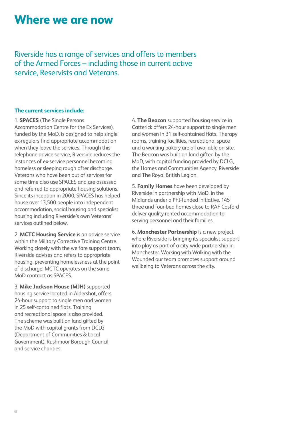### **Where we are now**

Riverside has a range of services and offers to members of the Armed Forces – including those in current active service, Reservists and Veterans.

#### **The current services include:**

1. **SPACES** (The Single Persons Accommodation Centre for the Ex Services), funded by the MoD, is designed to help single ex-regulars find appropriate accommodation when they leave the services. Through this telephone advice service, Riverside reduces the instances of ex-service personnel becoming homeless or sleeping rough after discharge. Veterans who have been out of services for some time also use SPACES and are assessed and referred to appropriate housing solutions. Since its inception in 2000, SPACES has helped house over 13,500 people into independent accommodation, social housing and specialist housing including Riverside's own Veterans' services outlined below.

2. **MCTC Housing Service** is an advice service within the Military Corrective Training Centre. Working closely with the welfare support team, Riverside advises and refers to appropriate housing, preventing homelessness at the point of discharge. MCTC operates on the same MoD contract as SPACES.

3. **Mike Jackson House (MJH)** supported housing service located in Aldershot, offers 24-hour support to single men and women in 25 self-contained flats. Training and recreational space is also provided. The scheme was built on land gifted by the MoD with capital grants from DCLG (Department of Communities & Local Government), Rushmoor Borough Council and service charities.

4. **The Beacon** supported housing service in Catterick offers 24-hour support to single men and women in 31 self-contained flats. Therapy rooms, training facilities, recreational space and a working bakery are all available on site. The Beacon was built on land gifted by the MoD, with capital funding provided by DCLG, the Homes and Communities Agency, Riverside and The Royal British Legion.

5. **Family Homes** have been developed by Riverside in partnership with MoD, in the Midlands under a PFI-funded initiative. 145 three and four-bed homes close to RAF Cosford deliver quality rented accommodation to serving personnel and their families.

6. **Manchester Partnership** is a new project where Riverside is bringing its specialist support into play as part of a city-wide partnership in Manchester. Working with Walking with the Wounded our team promotes support around wellbeing to Veterans across the city.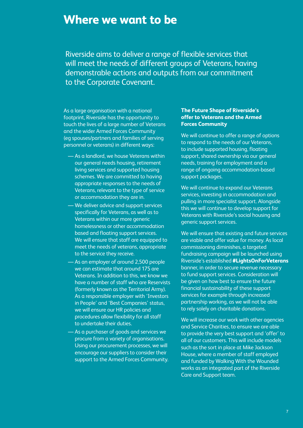### **Where we want to be**

Riverside aims to deliver a range of flexible services that will meet the needs of different groups of Veterans, having demonstrable actions and outputs from our commitment to the Corporate Covenant.

As a large organisation with a national footprint, Riverside has the opportunity to touch the lives of a large number of Veterans and the wider Armed Forces Community (eg spouses/partners and families of serving personnel or veterans) in different ways:

- As a landlord, we house Veterans within our general needs housing, retirement living services and supported housing schemes. We are committed to having appropriate responses to the needs of Veterans, relevant to the type of service or accommodation they are in.
- We deliver advice and support services specifically for Veterans, as well as to Veterans within our more generic homelessness or other accommodation based and floating support services. We will ensure that staff are equipped to meet the needs of veterans, appropriate to the service they receive.
- As an employer of around 2,500 people we can estimate that around 175 are Veterans. In addition to this, we know we have a number of staff who are Reservists (formerly known as the Territorial Army). As a responsible employer with 'Investors in People' and 'Best Companies' status, we will ensure our HR policies and procedures allow flexibility for all staff to undertake their duties.
- As a purchaser of goods and services we procure from a variety of organisations. Using our procurement processes, we will encourage our suppliers to consider their support to the Armed Forces Community.

#### **The Future Shape of Riverside's offer to Veterans and the Armed Forces Community**

We will continue to offer a range of options to respond to the needs of our Veterans, to include supported housing, floating support, shared ownership via our general needs, training for employment and a range of ongoing accommodation-based support packages.

We will continue to expand our Veterans services, investing in accommodation and pulling in more specialist support. Alongside this we will continue to develop support for Veterans with Riverside's social housing and generic support services.

We will ensure that existing and future services are viable and offer value for money. As local commissioning diminishes, a targeted fundraising campaign will be launched using Riverside's established **#LightsOnForVeterans**  banner, in order to secure revenue necessary to fund support services. Consideration will be given on how best to ensure the future financial sustainability of these support services for example through increased partnership working, as we will not be able to rely solely on charitable donations.

We will increase our work with other agencies and Service Charities, to ensure we are able to provide the very best support and 'offer' to all of our customers. This will include models such as the sort in place at Mike Jackson House, where a member of staff employed and funded by Walking With the Wounded works as an integrated part of the Riverside Care and Support team.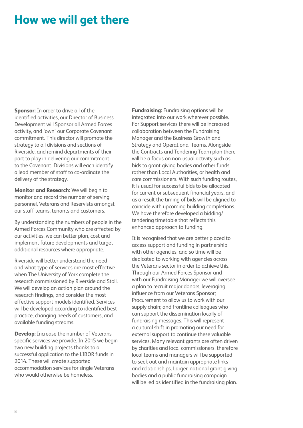### **How we will get there**

**Sponsor:** In order to drive all of the identified activities, our Director of Business Development will Sponsor all Armed Forces activity, and 'own' our Corporate Covenant commitment. This director will promote the strategy to all divisions and sections of Riverside, and remind departments of their part to play in delivering our commitment to the Covenant. Divisions will each identify a lead member of staff to co-ordinate the delivery of the strategy.

**Monitor and Research:** We will begin to monitor and record the number of serving personnel, Veterans and Reservists amongst our staff teams, tenants and customers.

By understanding the numbers of people in the Armed Forces Community who are affected by our activities, we can better plan, cost and implement future developments and target additional resources where appropriate.

Riverside will better understand the need and what type of services are most effective when The University of York complete the research commissioned by Riverside and Stoll. We will develop an action plan around the research findings, and consider the most effective support models identified. Services will be developed according to identified best practice, changing needs of customers, and available funding streams.

**Develop:** Increase the number of Veterans specific services we provide. In 2015 we begin two new building projects thanks to a successful application to the LIBOR funds in 2014. These will create supported accommodation services for single Veterans who would otherwise be homeless.

**Fundraising:** Fundraising options will be integrated into our work wherever possible. For Support services there will be increased collaboration between the Fundraising Manager and the Business Growth and Strategy and Operational Teams. Alongside the Contracts and Tendering Team plan there will be a focus on non-usual activity such as bids to grant giving bodies and other funds rather than Local Authorities, or health and care commissioners. With such funding routes, it is usual for successful bids to be allocated for current or subsequent financial years, and as a result the timing of bids will be aligned to coincide with upcoming building completions. We have therefore developed a bidding/ tendering timetable that reflects this enhanced approach to funding.

It is recognised that we are better placed to access support and funding in partnership with other agencies, and so time will be dedicated to working with agencies across the Veterans sector in order to achieve this. Through our Armed Forces Sponsor and with our Fundraising Manager we will oversee a plan to recruit major donors, leveraging influence from our Veterans Sponsor; Procurement to allow us to work with our supply chain; and frontline colleagues who can support the dissemination locally of fundraising messages. This will represent a cultural shift in promoting our need for external support to continue these valuable services. Many relevant grants are often driven by charities and local commissioners, therefore local teams and managers will be supported to seek out and maintain appropriate links and relationships. Larger, national grant giving bodies and a public fundraising campaign will be led as identified in the fundraising plan.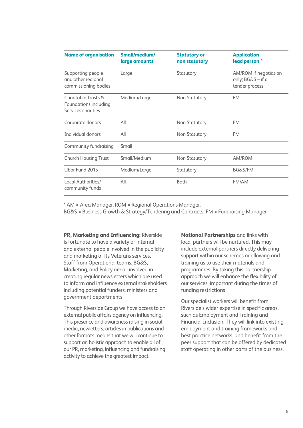| <b>Name of organisation</b>                                        | Small/medium/<br>large amounts | <b>Statutory or</b><br>non statutory | <b>Application</b><br>lead person*                           |
|--------------------------------------------------------------------|--------------------------------|--------------------------------------|--------------------------------------------------------------|
| Supporting people<br>and other regional<br>commissioning bodies    | Large                          | Statutory                            | AM/ROM if negotiation<br>only; BG&S - if a<br>tender process |
| Charitable Trusts &<br>Foundations including<br>Services charities | Medium/Large                   | Non Statutory                        | <b>FM</b>                                                    |
| Corporate donors                                                   | All                            | Non Statutory                        | <b>FM</b>                                                    |
| Individual donors                                                  | All                            | Non Statutory                        | <b>FM</b>                                                    |
| Community fundraising                                              | Small                          |                                      |                                                              |
| <b>Church Housing Trust</b>                                        | Small/Medium                   | Non Statutory                        | AM/ROM                                                       |
| Libor Fund 2015                                                    | Medium/Large                   | Statutory                            | BG&S/FM                                                      |
| Local Authorities/<br>community funds                              | All                            | <b>Both</b>                          | FM/AM                                                        |

\* AM = Area Manager, ROM = Regional Operations Manager,

BG&S = Business Growth & Strategy/Tendering and Contracts, FM = Fundraising Manager

**PR, Marketing and Influencing:** Riverside is fortunate to have a variety of internal and external people involved in the publicity and marketing of its Veterans services. Staff from Operational teams, BG&S, Marketing, and Policy are all involved in creating regular newsletters which are used to inform and influence external stakeholders including potential funders, ministers and government departments.

Through Riverside Group we have access to an external public affairs agency on influencing. This presence and awareness raising in social media, newletters, articles in publications and other formats means that we will continue to support an holistic approach to enable all of our PR, marketing, influencing and fundraising activity to achieve the greatest impact.

**National Partnerships** and links with local partners will be nurtured. This may include external partners directly delivering support within our schemes or allowing and training us to use their materials and programmes. By taking this partnership approach we will enhance the flexibility of our services, important during the times of funding restrictions

Our specialist workers will benefit from Riverside's wider expertise in specific areas, such as Employment and Training and Financial Inclusion. They will link into existing employment and training frameworks and best practice networks, and benefit from the peer support that can be offered by dedicated staff operating in other parts of the business.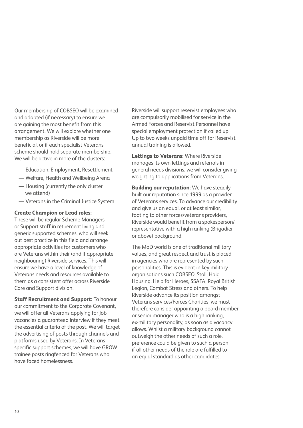Our membership of COBSEO will be examined and adapted (if necessary) to ensure we are gaining the most benefit from this arrangement. We will explore whether one membership as Riverside will be more beneficial, or if each specialist Veterans scheme should hold separate membership. We will be active in more of the clusters:

- Education, Employment, Resettlement
- Welfare, Health and Wellbeing Arena
- Housing (currently the only cluster we attend)
- Veterans in the Criminal Justice System

#### **Create Champion or Lead roles:**

These will be regular Scheme Managers or Support staff in retirement living and generic supported schemes, who will seek out best practice in this field and arrange appropriate activities for customers who are Veterans within their (and if appropriate neighbouring) Riverside services. This will ensure we have a level of knowledge of Veterans needs and resources available to them as a consistent offer across Riverside Care and Support division.

**Staff Recruitment and Support:** To honour our commitment to the Corporate Covenant, we will offer all Veterans applying for job vacancies a guaranteed interview if they meet the essential criteria of the post. We will target the advertising of posts through channels and platforms used by Veterans. In Veterans specific support schemes, we will have GROW trainee posts ringfenced for Veterans who have faced homelessness.

Riverside will support reservist employees who are compulsorily mobilised for service in the Armed Forces and Reservist Personnel have special employment protection if called up. Up to two weeks unpaid time off for Reservist annual training is allowed.

**Lettings to Veterans:** Where Riverside manages its own lettings and referrals in general needs divisions, we will consider giving weighting to applications from Veterans.

**Building our reputation:** We have steadily built our reputation since 1999 as a provider of Veterans services. To advance our credibility and give us an equal, or at least similar, footing to other forces/veterans providers, Riverside would benefit from a spokesperson/ representative with a high ranking (Brigadier or above) background.

The MoD world is one of traditional military values, and great respect and trust is placed in agencies who are represented by such personalities. This is evident in key military organisations such COBSEO, Stoll, Haig Housing, Help for Heroes, SSAFA, Royal British Legion, Combat Stress and others. To help Riverside advance its position amongst Veterans services/Forces Charities, we must therefore consider appointing a board member or senior manager who is a high ranking, ex-military personality, as soon as a vacancy allows. Whilst a military background cannot outweigh the other needs of such a role, preference could be given to such a person if all other needs of the role are fulfilled to an equal standard as other candidates.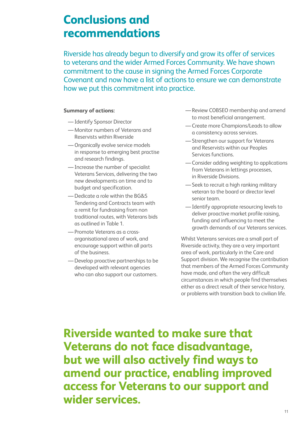### **Conclusions and recommendations**

Riverside has already begun to diversify and grow its offer of services to veterans and the wider Armed Forces Community. We have shown commitment to the cause in signing the Armed Forces Corporate Covenant and now have a list of actions to ensure we can demonstrate how we put this commitment into practice.

#### **Summary of actions:**

- —Identify Sponsor Director
- —Monitor numbers of Veterans and Reservists within Riverside
- —Organically evolve service models in response to emerging best practise and research findings.
- —Increase the number of specialist Veterans Services, delivering the two new developments on time and to budget and specification.
- —Dedicate a role within the BG&S Tendering and Contracts team with a remit for fundraising from non traditional routes, with Veterans bids as outlined in Table 1.
- —Promote Veterans as a crossorganisational area of work, and encourage support within all parts of the business.
- —Develop proactive partnerships to be developed with relevant agencies who can also support our customers.
- —Review COBSEO membership and amend to most beneficial arrangement.
- —Create more Champions/Leads to allow a consistency across services.
- —Strengthen our support for Veterans and Reservists within our Peoples Services functions.
- —Consider adding weighting to applications from Veterans in lettings processes, in Riverside Divisions.
- —Seek to recruit a high ranking military veteran to the board or director level senior team.
- —Identify appropriate resourcing levels to deliver proactive market profile raising, funding and influencing to meet the growth demands of our Veterans services.

Whilst Veterans services are a small part of Riverside activity, they are a very important area of work, particularly in the Care and Support division. We recognise the contribution that members of the Armed Forces Community have made, and often the very difficult circumstances in which people find themselves either as a direct result of their service history, or problems with transition back to civilian life.

**Riverside wanted to make sure that Veterans do not face disadvantage, but we will also actively find ways to amend our practice, enabling improved access for Veterans to our support and wider services.**